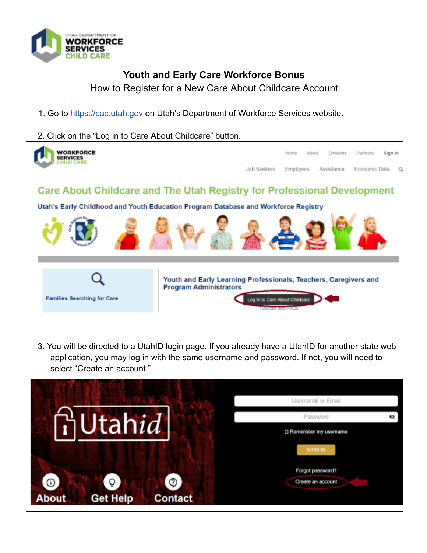

## **Youth and Early Care Workforce Bonus**

How to Register for a New Care About Childcare Account

- 1. Go to https://cac.utah.gov on Utah's Department of Workforce Services website.
- 2. Click on the "Log in to Care About Childcare" button.



3. You will be directed to a UtahID login page. If you already have a UtahID for another state web application, you may log in with the same username and password. If not, you will need to select "Create an account."

|                                                                  | Username or Email                       |  |
|------------------------------------------------------------------|-----------------------------------------|--|
| <b>Jtahid</b>                                                    | Password<br>o<br>□ Remember my username |  |
|                                                                  | SIGN IN                                 |  |
| Θ<br>⊙<br>O<br><b>About</b><br><b>Get Help</b><br><b>Contact</b> | Forgot password?<br>Create an account   |  |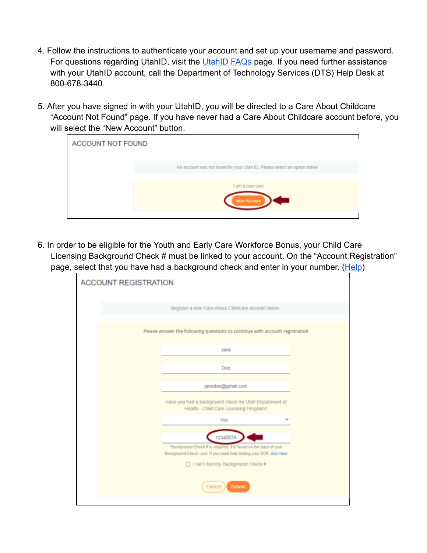- 4. Follow the instructions to authenticate your account and set up your username and password. For questions regarding UtahID, visit the [UtahID FAQs](https://idhelp.utah.gov/faqs.html) page. If you need further assistance with your UtahID account, call the Department of Technology Services (DTS) Help Desk at 800-678-3440.
- 5. After you have signed in with your UtahID, you will be directed to a Care About Childcare "Account Not Found" page. If you have never had a Care About Childcare account before, you will select the "New Account" button.



6. In order to be eligible for the Youth and Early Care Workforce Bonus, your Child Care Licensing Background Check # must be linked to your account. On the "Account Registration" page, select that you have had a background check and enter in your number. [\(Help](https://jobs.utah.gov/covid19/occops/addnum.pdf))

| <b>ACCOUNT REGISTRATION</b>                                                                                                                          |  |  |  |  |  |
|------------------------------------------------------------------------------------------------------------------------------------------------------|--|--|--|--|--|
| Register a new Care About Childcare account below                                                                                                    |  |  |  |  |  |
| Please answer the following questions to continue with account registration                                                                          |  |  |  |  |  |
| Jane                                                                                                                                                 |  |  |  |  |  |
| Doe                                                                                                                                                  |  |  |  |  |  |
| janedoe@gmail.com                                                                                                                                    |  |  |  |  |  |
| Have you had a background check for Utah Department of<br>Health - Child Care Licensing Program?                                                     |  |  |  |  |  |
| Yes                                                                                                                                                  |  |  |  |  |  |
| 1234567A<br>"Background Check # is required. It is found on the back of your<br>Background Check card. If you need help finding your BCA, click here |  |  |  |  |  |
| □ I can't find my Background Check #                                                                                                                 |  |  |  |  |  |
| Submit<br>Cancel                                                                                                                                     |  |  |  |  |  |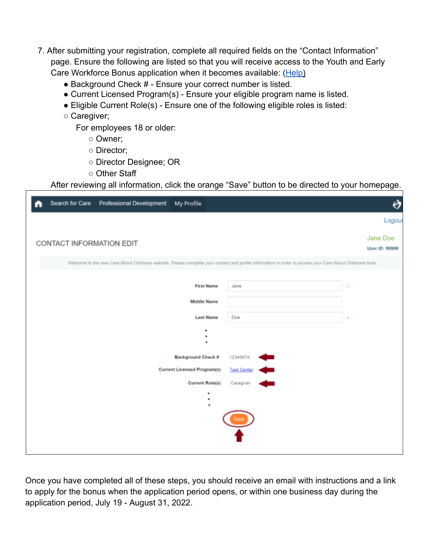- 7. After submitting your registration, complete all required fields on the "Contact Information" page. Ensure the following are listed so that you will receive access to the Youth and Early Care Workforce Bonus application when it becomes available: ([Help](https://jobs.utah.gov/covid19/occops/verifyelig.pdf))
	- Background Check # Ensure your correct number is listed.
	- Current Licensed Program(s) Ensure your eligible program name is listed.
	- Eligible Current Role(s) Ensure one of the following eligible roles is listed:
	- Caregiver;

For employees 18 or older:

- Owner;
- Director;
- Director Designee; OR
- Other Staff

After reviewing all information, click the orange "Save" button to be directed to your homepage.

|                                                                                                                                                           | Search for Care          | Professional Development | My Profile                  |             | Ò                          |
|-----------------------------------------------------------------------------------------------------------------------------------------------------------|--------------------------|--------------------------|-----------------------------|-------------|----------------------------|
|                                                                                                                                                           |                          |                          |                             |             | Logout                     |
|                                                                                                                                                           | CONTACT INFORMATION EDIT |                          |                             |             | Jane Doe<br>User ID: 99999 |
| Welcome to the new Care About Childcare website. Please complete your contact and profile information in order to access your Care About Childcare tools. |                          |                          |                             |             |                            |
|                                                                                                                                                           |                          |                          | <b>First Name</b>           | Jane        |                            |
|                                                                                                                                                           |                          |                          | <b>Middle Name</b>          |             |                            |
|                                                                                                                                                           |                          |                          | <b>Last Name</b>            | Dos         |                            |
|                                                                                                                                                           |                          |                          | ٠<br>۰                      |             |                            |
|                                                                                                                                                           |                          |                          | <b>Background Check #</b>   | 1234567A    |                            |
|                                                                                                                                                           |                          |                          | Current Licensed Program(s) | Test Center |                            |
|                                                                                                                                                           |                          |                          | <b>Current Role(s)</b>      | Caregiver   |                            |
| ٠<br>٠                                                                                                                                                    |                          |                          |                             |             |                            |
|                                                                                                                                                           |                          |                          |                             |             |                            |
|                                                                                                                                                           |                          |                          |                             |             |                            |
|                                                                                                                                                           |                          |                          |                             |             |                            |

Once you have completed all of these steps, you should receive an email with instructions and a link to apply for the bonus when the application period opens, or within one business day during the application period, July 19 - August 31, 2022.